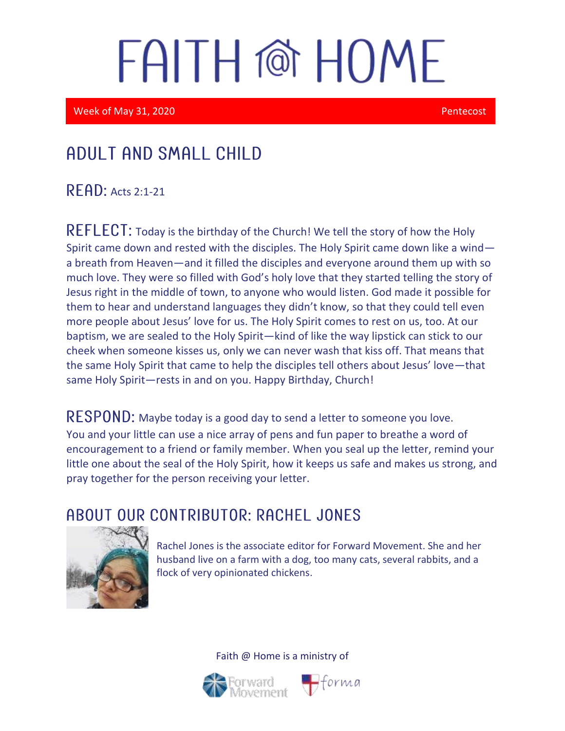Week of May 31, 2020 Pentecost

### Adult and Small Child

**READ: Acts 2:1-21** 

REFLECT: Today is the birthday of the Church! We tell the story of how the Holy Spirit came down and rested with the disciples. The Holy Spirit came down like a wind a breath from Heaven—and it filled the disciples and everyone around them up with so much love. They were so filled with God's holy love that they started telling the story of Jesus right in the middle of town, to anyone who would listen. God made it possible for them to hear and understand languages they didn't know, so that they could tell even more people about Jesus' love for us. The Holy Spirit comes to rest on us, too. At our baptism, we are sealed to the Holy Spirit—kind of like the way lipstick can stick to our cheek when someone kisses us, only we can never wash that kiss off. That means that the same Holy Spirit that came to help the disciples tell others about Jesus' love—that same Holy Spirit—rests in and on you. Happy Birthday, Church!

RESPOND: Maybe today is a good day to send a letter to someone you love. You and your little can use a nice array of pens and fun paper to breathe a word of encouragement to a friend or family member. When you seal up the letter, remind your little one about the seal of the Holy Spirit, how it keeps us safe and makes us strong, and pray together for the person receiving your letter.

#### ABOUT OUR CONTRIBUTOR: RACHEL JONES



Rachel Jones is the associate editor for Forward Movement. She and her husband live on a farm with a dog, too many cats, several rabbits, and a flock of very opinionated chickens.



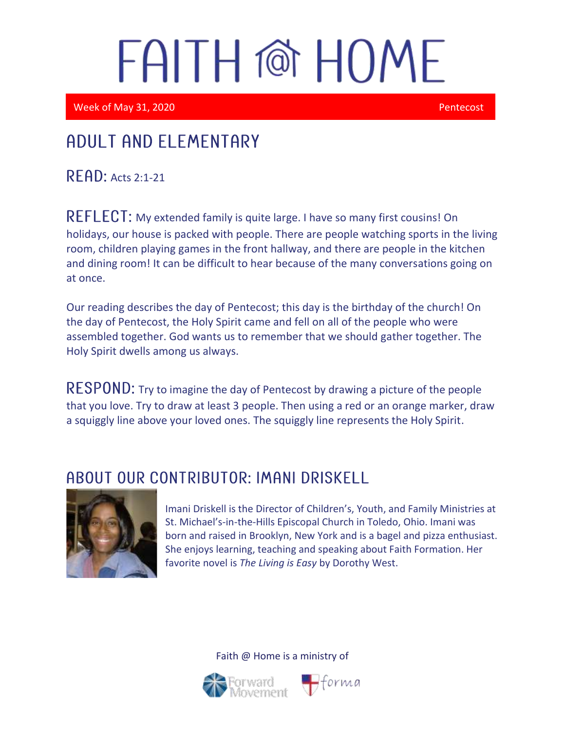Week of May 31, 2020 **Pentecost** 

i

I

## Adult and elementary

 $READ:$  Acts 2:1-21

REFLECT: My extended family is quite large. I have so many first cousins! On holidays, our house is packed with people. There are people watching sports in the living room, children playing games in the front hallway, and there are people in the kitchen and dining room! It can be difficult to hear because of the many conversations going on at once.

Our reading describes the day of Pentecost; this day is the birthday of the church! On the day of Pentecost, the Holy Spirit came and fell on all of the people who were assembled together. God wants us to remember that we should gather together. The Holy Spirit dwells among us always.

RESPOND: Try to imagine the day of Pentecost by drawing a picture of the people that you love. Try to draw at least 3 people. Then using a red or an orange marker, draw a squiggly line above your loved ones. The squiggly line represents the Holy Spirit.

### ABOUT OUR CONTRIBUTOR: IMANI DRISKELL



Imani Driskell is the Director of Children's, Youth, and Family Ministries at St. Michael's-in-the-Hills Episcopal Church in Toledo, Ohio. Imani was born and raised in Brooklyn, New York and is a bagel and pizza enthusiast. She enjoys learning, teaching and speaking about Faith Formation. Her favorite novel is *The Living is Easy* by Dorothy West.



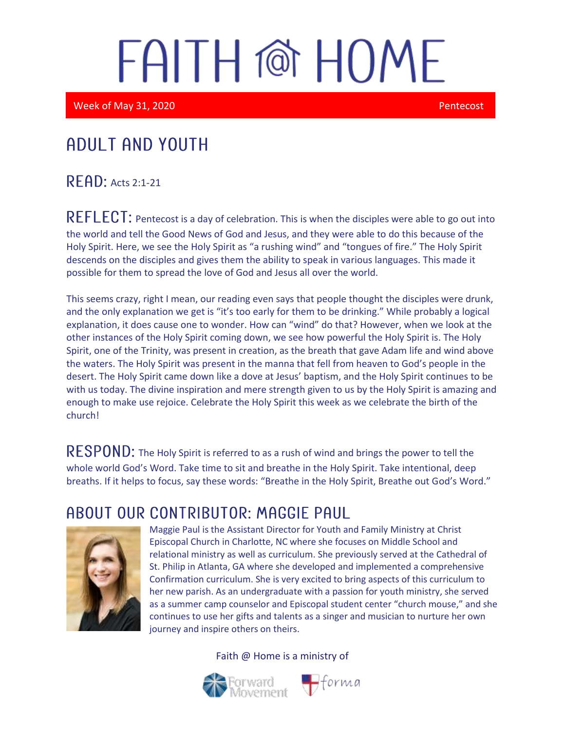Week of May 31, 2020 **Pentecost** 

## Adult and youth

#### $R$  $F$  $R$  $D$ : Acts 2:1-21

 $REFLECT$ : Pentecost is a day of celebration. This is when the disciples were able to go out into the world and tell the Good News of God and Jesus, and they were able to do this because of the Holy Spirit. Here, we see the Holy Spirit as "a rushing wind" and "tongues of fire." The Holy Spirit descends on the disciples and gives them the ability to speak in various languages. This made it possible for them to spread the love of God and Jesus all over the world.

This seems crazy, right I mean, our reading even says that people thought the disciples were drunk, and the only explanation we get is "it's too early for them to be drinking." While probably a logical explanation, it does cause one to wonder. How can "wind" do that? However, when we look at the other instances of the Holy Spirit coming down, we see how powerful the Holy Spirit is. The Holy Spirit, one of the Trinity, was present in creation, as the breath that gave Adam life and wind above the waters. The Holy Spirit was present in the manna that fell from heaven to God's people in the desert. The Holy Spirit came down like a dove at Jesus' baptism, and the Holy Spirit continues to be with us today. The divine inspiration and mere strength given to us by the Holy Spirit is amazing and enough to make use rejoice. Celebrate the Holy Spirit this week as we celebrate the birth of the church!

RESPOND: The Holy Spirit is referred to as a rush of wind and brings the power to tell the whole world God's Word. Take time to sit and breathe in the Holy Spirit. Take intentional, deep breaths. If it helps to focus, say these words: "Breathe in the Holy Spirit, Breathe out God's Word."

#### ABOUT OUR CONTRIBUTOR: MAGGIE PAUL



Maggie Paul is the Assistant Director for Youth and Family Ministry at Christ Episcopal Church in Charlotte, NC where she focuses on Middle School and relational ministry as well as curriculum. She previously served at the Cathedral of St. Philip in Atlanta, GA where she developed and implemented a comprehensive Confirmation curriculum. She is very excited to bring aspects of this curriculum to her new parish. As an undergraduate with a passion for youth ministry, she served as a summer camp counselor and Episcopal student center "church mouse," and she continues to use her gifts and talents as a singer and musician to nurture her own journey and inspire others on theirs.